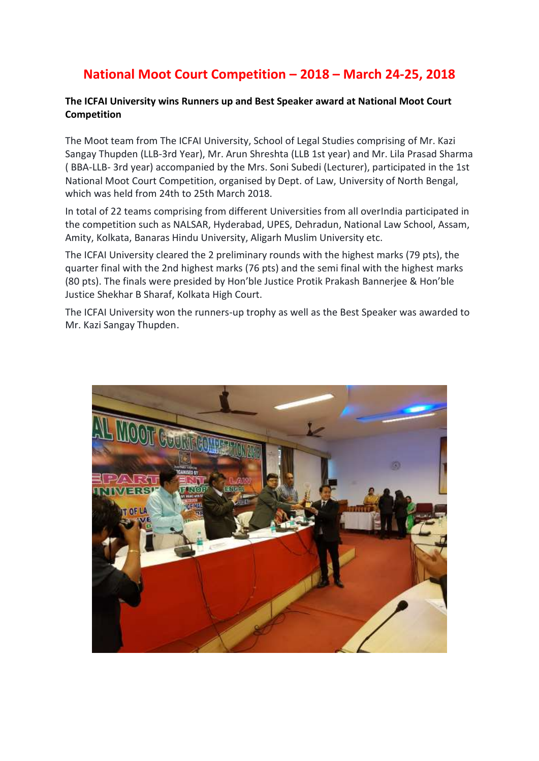## **National Moot Court Competition – 2018 – March 24-25, 2018**

## **The ICFAI University wins Runners up and Best Speaker award at National Moot Court Competition**

The Moot team from The ICFAI University, School of Legal Studies comprising of Mr. Kazi Sangay Thupden (LLB-3rd Year), Mr. Arun Shreshta (LLB 1st year) and Mr. Lila Prasad Sharma ( BBA-LLB- 3rd year) accompanied by the Mrs. Soni Subedi (Lecturer), participated in the 1st National Moot Court Competition, organised by Dept. of Law, University of North Bengal, which was held from 24th to 25th March 2018.

In total of 22 teams comprising from different Universities from all overIndia participated in the competition such as NALSAR, Hyderabad, UPES, Dehradun, National Law School, Assam, Amity, Kolkata, Banaras Hindu University, Aligarh Muslim University etc.

The ICFAI University cleared the 2 preliminary rounds with the highest marks (79 pts), the quarter final with the 2nd highest marks (76 pts) and the semi final with the highest marks (80 pts). The finals were presided by Hon'ble Justice Protik Prakash Bannerjee & Hon'ble Justice Shekhar B Sharaf, Kolkata High Court.

The ICFAI University won the runners-up trophy as well as the Best Speaker was awarded to Mr. Kazi Sangay Thupden.